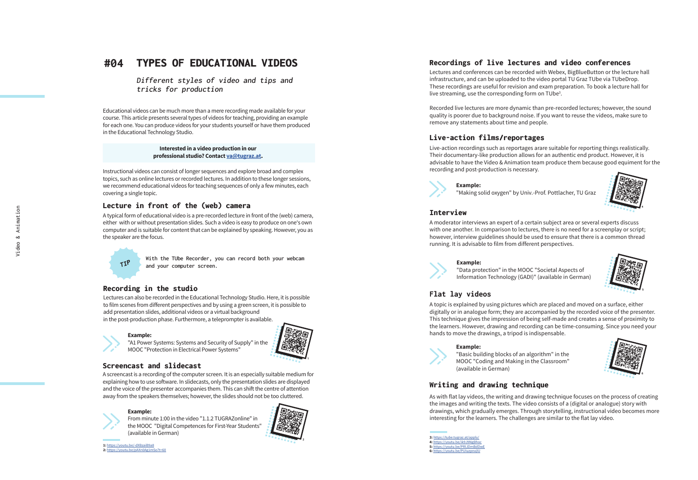#### **#04** TYPES OF EDUCATIONAL VIDEOS

**Different styles of video and tips and tricks for production** 

Educational videos can be much more than a mere recording made available for your course. This article presents several types of videos for teaching, providing an example for each one. You can produce videos for your students yourself or have them produced in the Educational Technology Studio.

#### **Interested in a video production in our professional studio? Contact [va@tugraz.at](mailto:va%40tugraz.at?subject=) .**

Instructional videos can consist of longer sequences and explore broad and complex topics, such as online lectures or recorded lectures. In addition to these longer sessions, we recommend educational videos for teaching sequences of only a few minutes, each covering a single topic.

#### Lecture in front of the (web) camera

A typical form of educational video is a pre-recorded lecture in front of the (web) camera, either with or without presentation slides. Such a video is easy to produce on one's own computer and is suitable for content that can be explained by speaking. However, you as the speaker are the focus.



**With the TUbe Recorder, you can record both your webcam and your computer screen.** 

#### Recording in the studio

Lectures can also be recorded in the Educational Technology Studio. Here, it is possible to film scenes from different perspectives and by using a green screen, it is possible to add presentation slides, additional videos or a virtual background in the post-production phase. Furthermore, a teleprompter is available. TIP<br>
and your computer state<br>
and your computer<br>
state<br> **Recording in the studio**<br>
Lectures can also be recorded in the Educ<br>
to film scenes from different perspectives<br>
and presentation slides, additional video:<br>
in the p

#### **Example:**

"A1 Power Systems: Systems and Security of Supply" in the MOOC "Protection in Electrical Power Systems"



A screencast is a recording of the computer screen. It is an especially suitable medium for explaining how to use software. In slidecasts, only the presentation slides are displayed and the voice of the presenter accompanies them. This can shift the centre of attention away from the speakers themselves; however, the slides should not be too cluttered.

#### **Example:**

From minute 1:00 in the video "1.1.2 TUGRAZonline" in the MOOC "Digital Competences for First-Year Students" (available in German)



**1:** <https://youtu.be/-dXBzaiB9a8> **2:** <https://youtu.be/pAXn0Ag1mSo?t=60>

### Recordings of live lectures and video conferences

Lectures and conferences can be recorded with Webex, BigBlueButton or the lecture hall infrastructure, and can be uploaded to the video portal TU Graz TUbe via TUbeDrop. These recordings are useful for revision and exam preparation. To book a lecture hall for live streaming, use the corresponding form on TUbe<sup>3</sup>.

Recorded live lectures are more dynamic than pre-recorded lectures; however, the sound quality is poorer due to background noise. If you want to reuse the videos, make sure to remove any statements about time and people.

#### Live-action films/reportages

Live-action recordings such as reportages arare suitable for reporting things realistically. Their documentary-like production allows for an authentic end product. However, it is advisable to have the Video & Animation team produce them because good equiment for the recording and post-production is necessary.



**Example:**  "Making solid oxygen" by Univ.-Prof. Pottlacher, TU Graz



#### **Interview**

A moderator interviews an expert of a certain subject area or several experts discuss with one another. In comparison to lectures, there is no need for a screenplay or script; however, interview guidelines should be used to ensure that there is a common thread running. It is advisable to film from different perspectives.

#### **Example:**

"Data protection" in the MOOC "Societal Aspects of Information Technology (GADI)" (available in German)



#### **Flat lay videos**

A topic is explained by using pictures which are placed and moved on a surface, either digitally or in analogue form; they are accompanied by the recorded voice of the presenter. This technique gives the impression of being self-made and creates a sense of proximity to the learners. However, drawing and recording can be time-consuming. Since you need your hands to move the drawings, a tripod is indispensable.

#### **Example:**

"Basic building blocks of an algorithm" in the MOOC "Coding and Making in the Classroom" (available in German)



#### Writing and drawing technique

As with flat lay videos, the writing and drawing technique focuses on the process of creating the images and writing the texts. The video consists of a (digital or analogue) story with drawings, which gradually emerges. Through storytelling, instructional video becomes more interesting for the learners. The challenges are similar to the flat lay video.

**3:** <https://tube.tugraz.at/apply/> **4:** https://youtu.be/ik9J9NgBhoc **5:** <https://youtu.be/PRIJDmBdDwE> **6:** [https://youtu.be/PUIuzpnxjIU](https://www.youtube.com/watch?v=PUIuzpnxjIU)